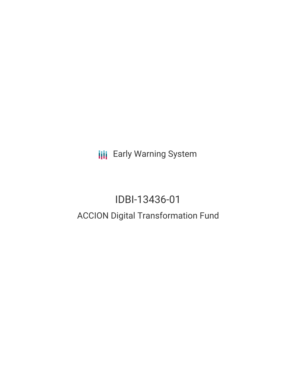**III** Early Warning System

# IDBI-13436-01 ACCION Digital Transformation Fund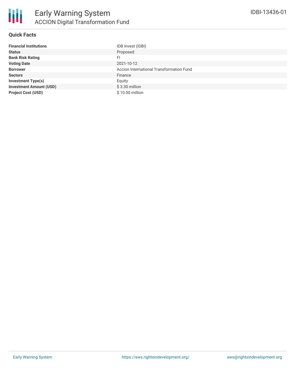

#### **Quick Facts**

| <b>Financial Institutions</b>  | IDB Invest (IDBI)                        |
|--------------------------------|------------------------------------------|
| <b>Status</b>                  | Proposed                                 |
| <b>Bank Risk Rating</b>        | FI                                       |
| <b>Voting Date</b>             | 2021-10-12                               |
| <b>Borrower</b>                | Accion International Transformation Fund |
| <b>Sectors</b>                 | Finance                                  |
| <b>Investment Type(s)</b>      | Equity                                   |
| <b>Investment Amount (USD)</b> | $$3.30$ million                          |
| <b>Project Cost (USD)</b>      | \$10.00 million                          |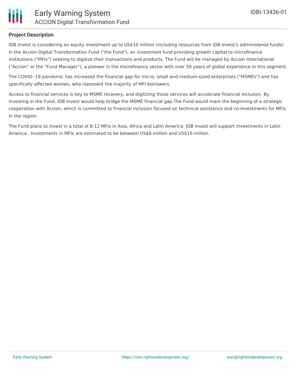

#### **Project Description**

IDB Invest is considering an equity investment up to US\$10 million (including resources from IDB Invest's administered funds) in the Accion Digital Transformation Fund ("the Fund"), an investment fund providing growth capital to microfinance institutions ("MFIs") seeking to digitize their transactions and products. The Fund will be managed by Accion International ("Accion" or the "Fund Manager"), a pioneer in the microfinance sector with over 50 years of global experience in this segment.

The COVID- 19 pandemic has increased the financial gap for micro, small and medium-sized enterprises ("MSMEs") and has specifically affected women, who represent the majority of MFI borrowers.

Access to financial services is key to MSME recovery, and digitizing those services will accelerate financial inclusion. By investing in the Fund, IDB Invest would help bridge the MSME financial gap.The Fund would mark the beginning of a strategic cooperation with Accion, which is committed to financial inclusion focused on technical assistance and co-investments for MFIs in the region.

The Fund plans to invest in a total of 8-12 MFIs in Asia, Africa and Latin America. IDB Invest will support investments in Latin America . Investments in MFIs are estimated to be between US\$8 million and US\$10 million.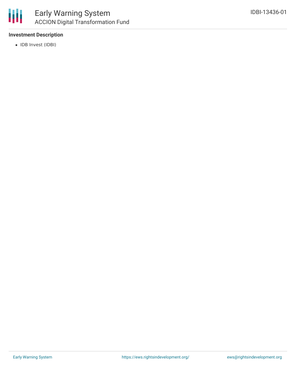

#### **Investment Description**

• IDB Invest (IDBI)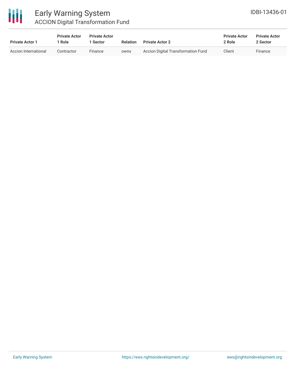

### Early Warning System ACCION Digital Transformation Fund

| <b>Private Actor 1</b> | <b>Private Actor</b><br>1 Role | <b>Private Actor</b><br><b>Sector</b> | <b>Relation</b> | <b>Private Actor 2</b>             | <b>Private Actor</b><br>2 Role | <b>Private Actor</b><br>2 Sector |
|------------------------|--------------------------------|---------------------------------------|-----------------|------------------------------------|--------------------------------|----------------------------------|
| Accion International   | Contractor                     | Finance                               | owns            | Accion Digital Transformation Fund | Client                         | Finance                          |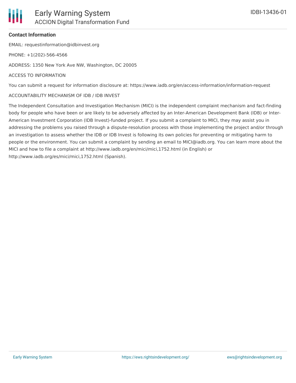#### **Contact Information**

EMAIL: requestinformation@idbinvest.org

PHONE: +1(202)-566-4566

ADDRESS: 1350 New York Ave NW, Washington, DC 20005

#### ACCESS TO INFORMATION

You can submit a request for information disclosure at: https://www.iadb.org/en/access-information/information-request

#### ACCOUNTABILITY MECHANISM OF IDB / IDB INVEST

The Independent Consultation and Investigation Mechanism (MICI) is the independent complaint mechanism and fact-finding body for people who have been or are likely to be adversely affected by an Inter-American Development Bank (IDB) or Inter-American Investment Corporation (IDB Invest)-funded project. If you submit a complaint to MICI, they may assist you in addressing the problems you raised through a dispute-resolution process with those implementing the project and/or through an investigation to assess whether the IDB or IDB Invest is following its own policies for preventing or mitigating harm to people or the environment. You can submit a complaint by sending an email to MICI@iadb.org. You can learn more about the MICI and how to file a complaint at http://www.iadb.org/en/mici/mici,1752.html (in English) or http://www.iadb.org/es/mici/mici,1752.html (Spanish).